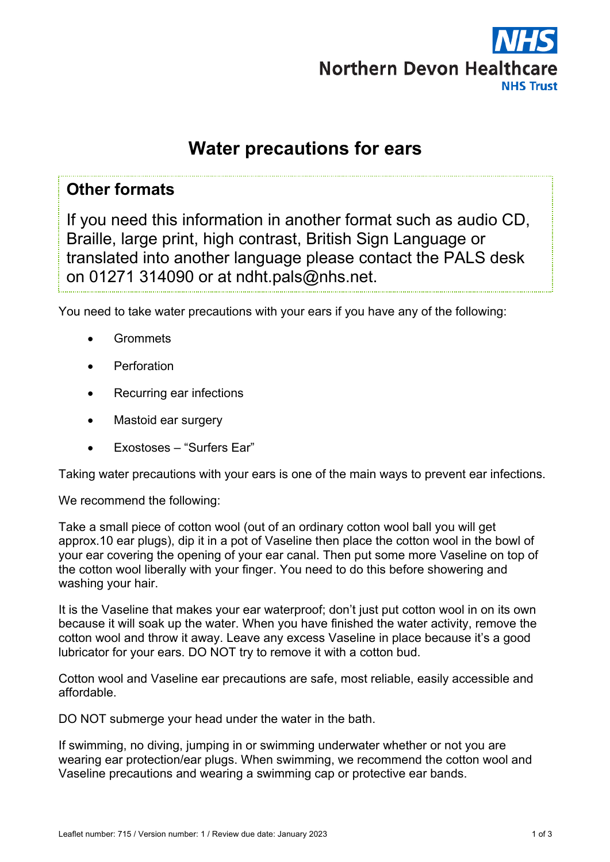

# **Water precautions for ears**

### **Other formats**

If you need this information in another format such as audio CD, Braille, large print, high contrast, British Sign Language or translated into another language please contact the PALS desk on 01271 314090 or at ndht.pals@nhs.net.

You need to take water precautions with your ears if you have any of the following:

- **Grommets**
- **Perforation**
- Recurring ear infections
- Mastoid ear surgery
- Exostoses "Surfers Ear"

Taking water precautions with your ears is one of the main ways to prevent ear infections.

We recommend the following:

Take a small piece of cotton wool (out of an ordinary cotton wool ball you will get approx.10 ear plugs), dip it in a pot of Vaseline then place the cotton wool in the bowl of your ear covering the opening of your ear canal. Then put some more Vaseline on top of the cotton wool liberally with your finger. You need to do this before showering and washing your hair.

It is the Vaseline that makes your ear waterproof; don't just put cotton wool in on its own because it will soak up the water. When you have finished the water activity, remove the cotton wool and throw it away. Leave any excess Vaseline in place because it's a good lubricator for your ears. DO NOT try to remove it with a cotton bud.

Cotton wool and Vaseline ear precautions are safe, most reliable, easily accessible and affordable.

DO NOT submerge your head under the water in the bath.

If swimming, no diving, jumping in or swimming underwater whether or not you are wearing ear protection/ear plugs. When swimming, we recommend the cotton wool and Vaseline precautions and wearing a swimming cap or protective ear bands.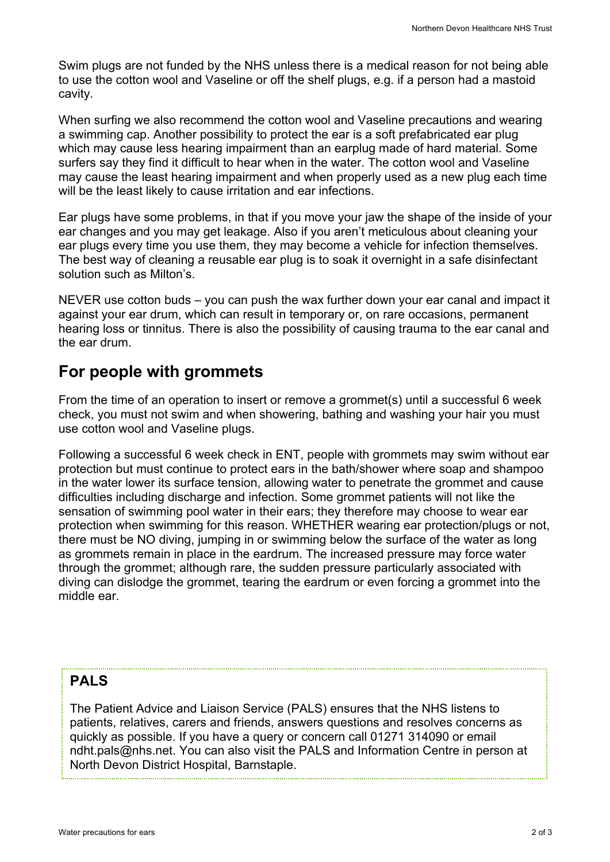Swim plugs are not funded by the NHS unless there is a medical reason for not being able to use the cotton wool and Vaseline or off the shelf plugs, e.g. if a person had a mastoid cavity.

When surfing we also recommend the cotton wool and Vaseline precautions and wearing a swimming cap. Another possibility to protect the ear is a soft prefabricated ear plug which may cause less hearing impairment than an earplug made of hard material. Some surfers say they find it difficult to hear when in the water. The cotton wool and Vaseline may cause the least hearing impairment and when properly used as a new plug each time will be the least likely to cause irritation and ear infections.

Ear plugs have some problems, in that if you move your jaw the shape of the inside of your ear changes and you may get leakage. Also if you aren't meticulous about cleaning your ear plugs every time you use them, they may become a vehicle for infection themselves. The best way of cleaning a reusable ear plug is to soak it overnight in a safe disinfectant solution such as Milton's.

NEVER use cotton buds – you can push the wax further down your ear canal and impact it against your ear drum, which can result in temporary or, on rare occasions, permanent hearing loss or tinnitus. There is also the possibility of causing trauma to the ear canal and the ear drum.

## **For people with grommets**

From the time of an operation to insert or remove a grommet(s) until a successful 6 week check, you must not swim and when showering, bathing and washing your hair you must use cotton wool and Vaseline plugs.

Following a successful 6 week check in ENT, people with grommets may swim without ear protection but must continue to protect ears in the bath/shower where soap and shampoo in the water lower its surface tension, allowing water to penetrate the grommet and cause difficulties including discharge and infection. Some grommet patients will not like the sensation of swimming pool water in their ears; they therefore may choose to wear ear protection when swimming for this reason. WHETHER wearing ear protection/plugs or not, there must be NO diving, jumping in or swimming below the surface of the water as long as grommets remain in place in the eardrum. The increased pressure may force water through the grommet; although rare, the sudden pressure particularly associated with diving can dislodge the grommet, tearing the eardrum or even forcing a grommet into the middle ear.

### **PALS**

The Patient Advice and Liaison Service (PALS) ensures that the NHS listens to patients, relatives, carers and friends, answers questions and resolves concerns as quickly as possible. If you have a query or concern call 01271 314090 or email ndht.pals@nhs.net. You can also visit the PALS and Information Centre in person at North Devon District Hospital, Barnstaple.